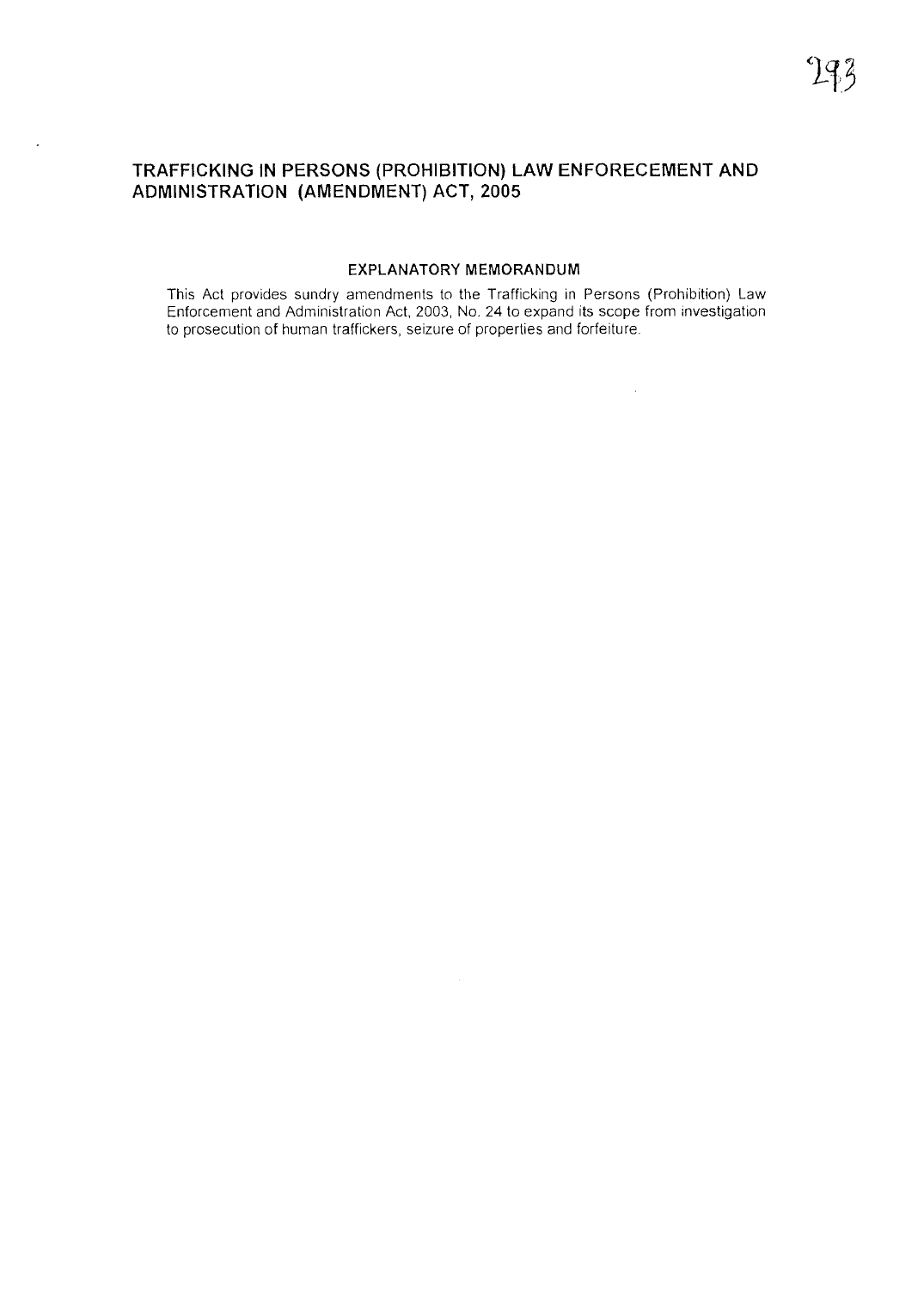## **TRAFFICKING IN PERSONS (PROHIBITION) LAW ENFORECEMENT AND ADMINISTRATION (AMENDMENT) ACT, 2005**

### **EXPLANATORY MEMORANDUM**

This Act provides sundry amendments to the Trafficking in Persons (Prohibition) Law Enforcement and Administration Act, 2003, No. 24 to expand its scope from investigatio to prosecution of human traffickers, seizure of properties and forfeiture.

 $\mathcal{A}$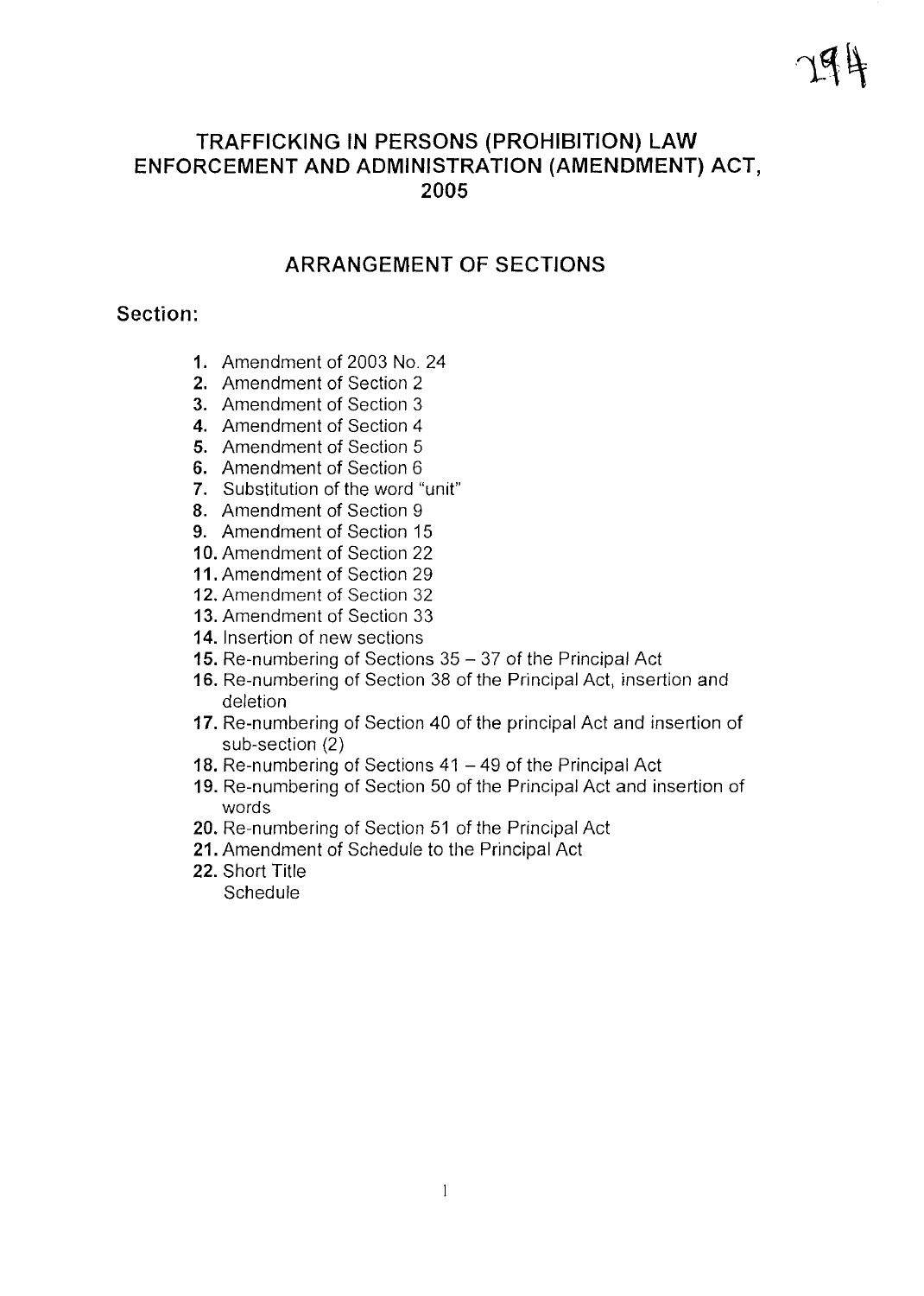# **TRAFFICKING IN PERSONS (PROHIBITION) LAW ENFORCEMENT AND ADMINISTRATION (AMENDMENT) ACT, 2005**

# **ARRANGEMENT OF SECTIONS**

## **Section:**

- **1.** Amendment of 2003 No. 24
- **2.** Amendment of Section 2
- **3.** Amendment of Section 3
- **4.** Amendment of Section 4
- **5.** Amendment of Section 5
- **6.** Amendment of Section 6
- **7.** Substitution of the word "unit"
- **8.** Amendment of Section 9
- **9.** Amendment of Section 15
- **10.** Amendment of Section 22
- **11.** Amendment of Section 29
- **12.** Amendment of Section 32
- **13.** Amendment of Section 33
- **14.** Insertion of new sections
- 15. Re-numbering of Sections 35 37 of the Principal Act
- **16.** Re-numbering of Section 38 of the Principal Act, insertion and deletion
- **17.** Re-numbering of Section 40 of the principal Act and insertion of sub-section (2)
- 18. Re-numbering of Sections 41 49 of the Principal Act
- **19.** Re-numbering of Section 50 of the Principal Act and insertion of words
- **20.** Re-numbering of Section 51 of the Principal Act
- **21.** Amendment of Schedule to the Principal Act
- **22.** Short Title

**Schedule**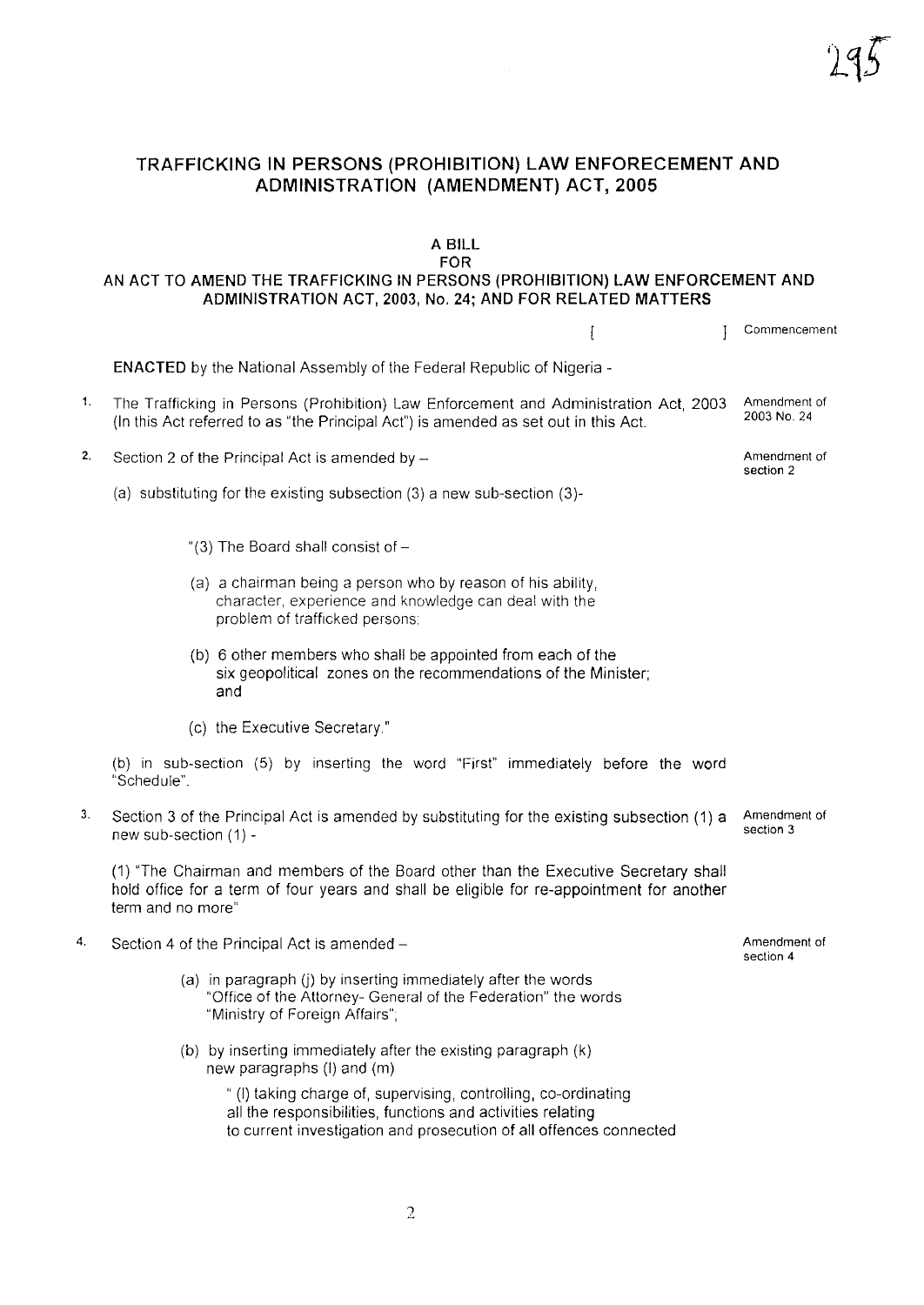### TRAFFICKING IN PERSONS (PROHIBITION) LAW ENFORECEMENT AND ADMINISTRATION (AMENDMENT) ACT, 2005

#### A BILL FOR

### AN ACT TO AMEND THE TRAFFICKING IN PERSONS (PROHIBITION) LAW ENFORCEMENT AND ADMINISTRATION ACT, 2003, No. 24; AND FOR RELATED MATTERS

<sup>J</sup> Commencement  $\mathbf{I}$ ENACTED by the National Assembly of the Federal Republic of Nigeria - 1. The Trafficking in Persons (Prohibition) Law Enforcement and Administration Act, 2003 Amendment of 2003 No. 24 (In this Act referred to as "the Principal Act") is amended as set out in this Act. 2. Section 2 of the Principal Act is amended by  $-\frac{1}{2}$  Amendment of Amendment of section 2 (a) substituting for the existing subsection (3) a new sub-section (3)- "(3) The Board shall consist of  $-$ (a) a chairman being a person who by reason of his ability, character, experience and knowledge can deal with the problem of trafficked persons: (b) 6 other members who shall be appointed from each of the six geopolitical zones on the recommendations of the Minister; and (c) the Executive Secretary" (b) in sub-section (5) by inserting the word "First" immediately before the word "Schedule". 3. Section 3 of the Principal Act is amended by substituting for the existing subsection (1) a Amendment of section 3 new sub-section (1) - (1) "The Chairman and members of the Board other than the Executive Secretary shall hold office for a term of four years and shall be eligible for re-appointment for another term and no more" 4. Section 4 of the Principal Act is amended - Amendment of section 4 (a) in paragraph (j) by inserting immediately after the words "Office of the Attorney- General of the Federation" the words "Ministry of Foreign Affairs"; (b) by inserting immediately after the existing paragraph (k) new paragraphs (I) and (m) " (I) taking charge of, supervising, controlling, co-ordinating all the responsibilities, functions and activities relating to current investigation and prosecution of all offences connected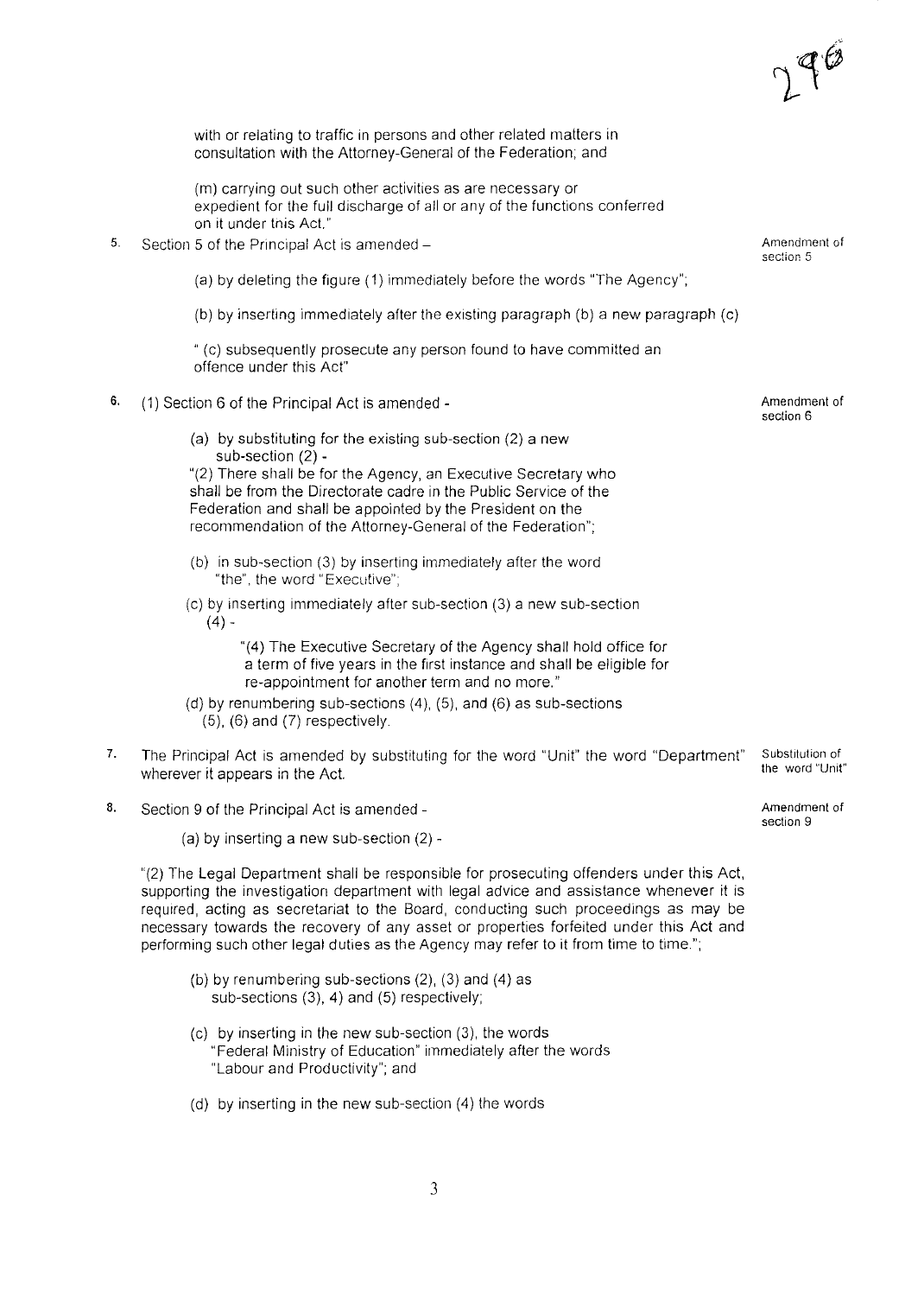with or relating to traffic in persons and other related matters in consultation with the Attorney-General of the Federation; and

(m) carrying out such other activities as are necessary or expedient for the full discharge of all or any of the functions conferred on it under tnis Act."

5. Section 5 of the Principal Act is amended  $-$ 

(a) by deleting the figure (1) immediately before the words "The Agency";

(b) by inserting immediately after the existing paragraph (b) a new paragraph (c)

" (c) subsequently prosecute any person found to have committed an offence under this Act"

- 6. (1) Section 6 of the Principal Act is amended
	- (a) by substituting for the existing sub-section (2) a new sub-section (2) -

"(2) There shall be for the Agency, an Executive Secretary who shall be from the Directorate cadre in the Public Service of the Federation and shall be appointed by the President on the recommendation of the Attorney-General of the Federation";

- (b) in sub-section (3) by inserting immediately after the word "the", the word "Executive";
- (c) by inserting immediately after sub-section (3) a new sub-section  $(4) -$

"(4) The Executive Secretary of the Agency shall hold office for a term of five years in the first instance and shall be eligible for re-appointment for another term and no more."

- (d) by renumbering sub-sections (4), (5), and (6) as sub-sections  $(5)$ ,  $(6)$  and  $(7)$  respectively.
- 7. The Principal Act is amended by substituting for the word "Unit" the word "Department" wherever it appears in the Act.
- 8. Section 9 of the Principal Act is amended -

(a) by inserting a new sub-section  $(2)$  -

"(2) The Legal Department shall be responsible for prosecuting offenders under this Act, supporting the investigation department with legal advice and assistance whenever it is required, acting as secretariat to the Board, conducting such proceedings as may be necessary towards the recovery of any asset or properties forfeited under this Act and performing such other legal duties as the Agency may refer to it from time to time.";

- (b) by renumbering SUb-sections (2), (3) and (4) as sub-sections (3), 4) and (5) respectively;
- (c) by inserting in the new sub-section (3), the words "Federal Ministry of Education" immediately after the words "Labour and Productivity"; and
- (d) by inserting in the new sub-section (4) the words

Amendment of **section 5**

Amendment of section 6

Substitution of the word "Unit"

Amendment of section 9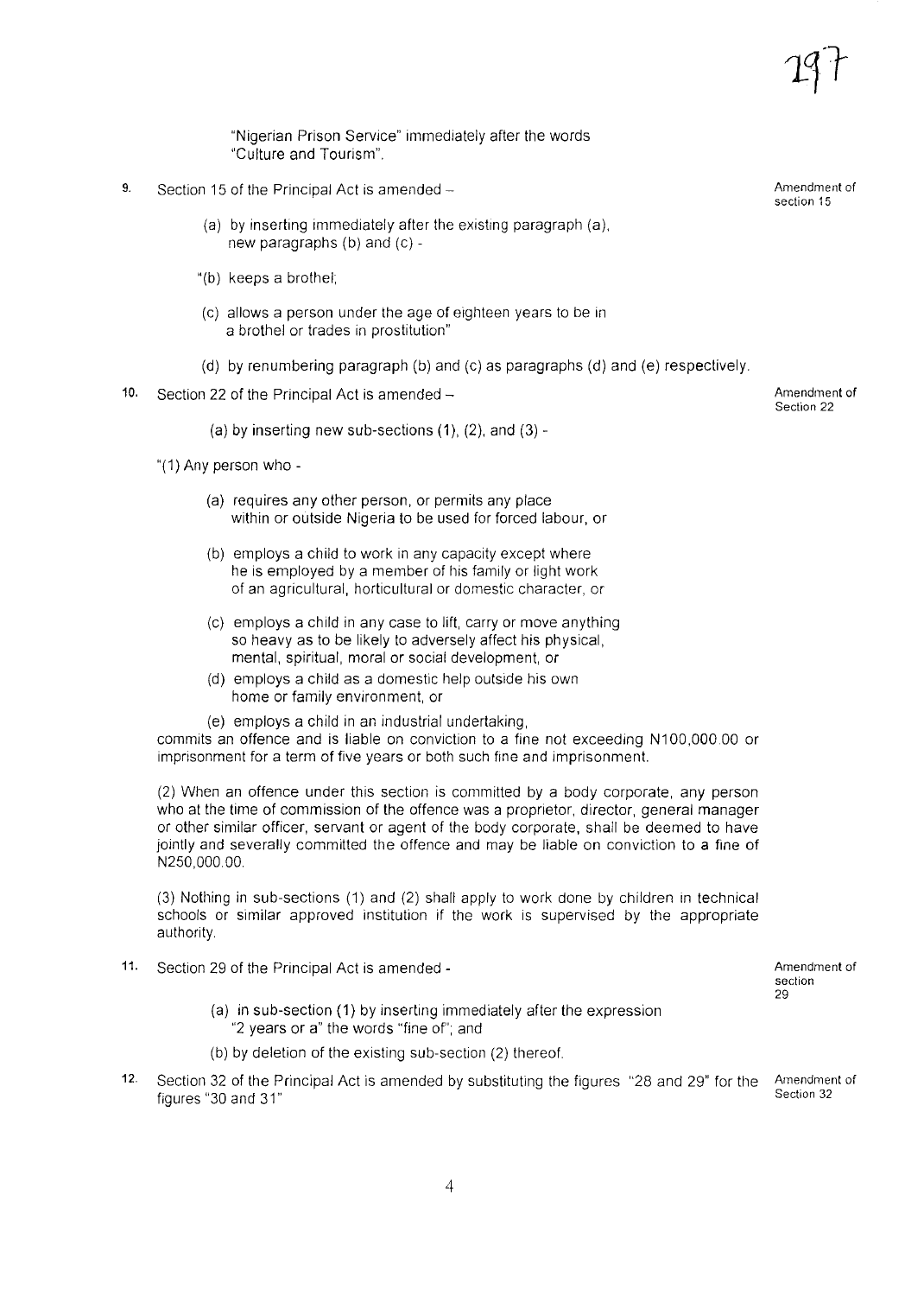"Nigerian Prison Service" immediately after the words "Culture and Tourism".

- 9. Section 15 of the Principal Act is amended  $-$ 
	- (a) by inserting immediately after the existing paragraph (a), new paragraphs (b) and (c) -
	- "(b) keeps a brothel;
	- (c) allows a person under the age of eighteen years to be in a brothel or trades in prostitution"
	- (d) by renumbering paragraph (b) and (c) as paragraphs (d) and (e) respectively.
- 10. Section 22 of the Principal Act is amended  $-$ 
	- (a) by inserting new sub-sections  $(1)$ ,  $(2)$ , and  $(3)$  -
	- "(1) Any person who
		- (a) requires any other person, or permits any place within or outside Nigeria to be used for forced labour, or
		- (b) employs a child to work in any capacity except where he is employed by a member of his family or light work of an agricultural, horticultural or domestic character, or
		- (c) employs a child in any case to lift, carry or move anything so heavy as to be likely to adversely affect his physical, mental, spiritual, moral or social development, or
		- (d) employs a child as a domestic help outside his own home or family environment, or
		- (e) employs a child in an industrial undertaking,

commits an offence and is liable on conviction to a fine not exceeding N100,000.00 or imprisonment for a term of five years or both such fine and imprisonment.

(2) When an offence under this section is committed by a body corporate, any person who at the time of commission of the offence was a proprietor, director, general manager or other similar officer, servant or agent of the body corporate, shall be deemed to have jointly and severally committed the offence and may be liable on conviction to a fine of N250,OOO.00.

(3) Nothing in sub-sections (1) and (2) shall apply to work done by children in technical schools or similar approved institution if the work is supervised by the appropriate authority.

- 11. Section 29 of the Principal Act is amended
	- (a) in sub-section (1) by inserting immediately after the expression "2 years or a" the words "fine of"; and
	- (b) by deletion of the existing sub-section (2) thereof
- 12. Section 32 of the Principal Act is amended by substituting the figures "28 and 29" for the figures "30 and 31" Section 32

Amendment of Section 22

Amendment of **section** 29

Amendment of

Amendment of section 15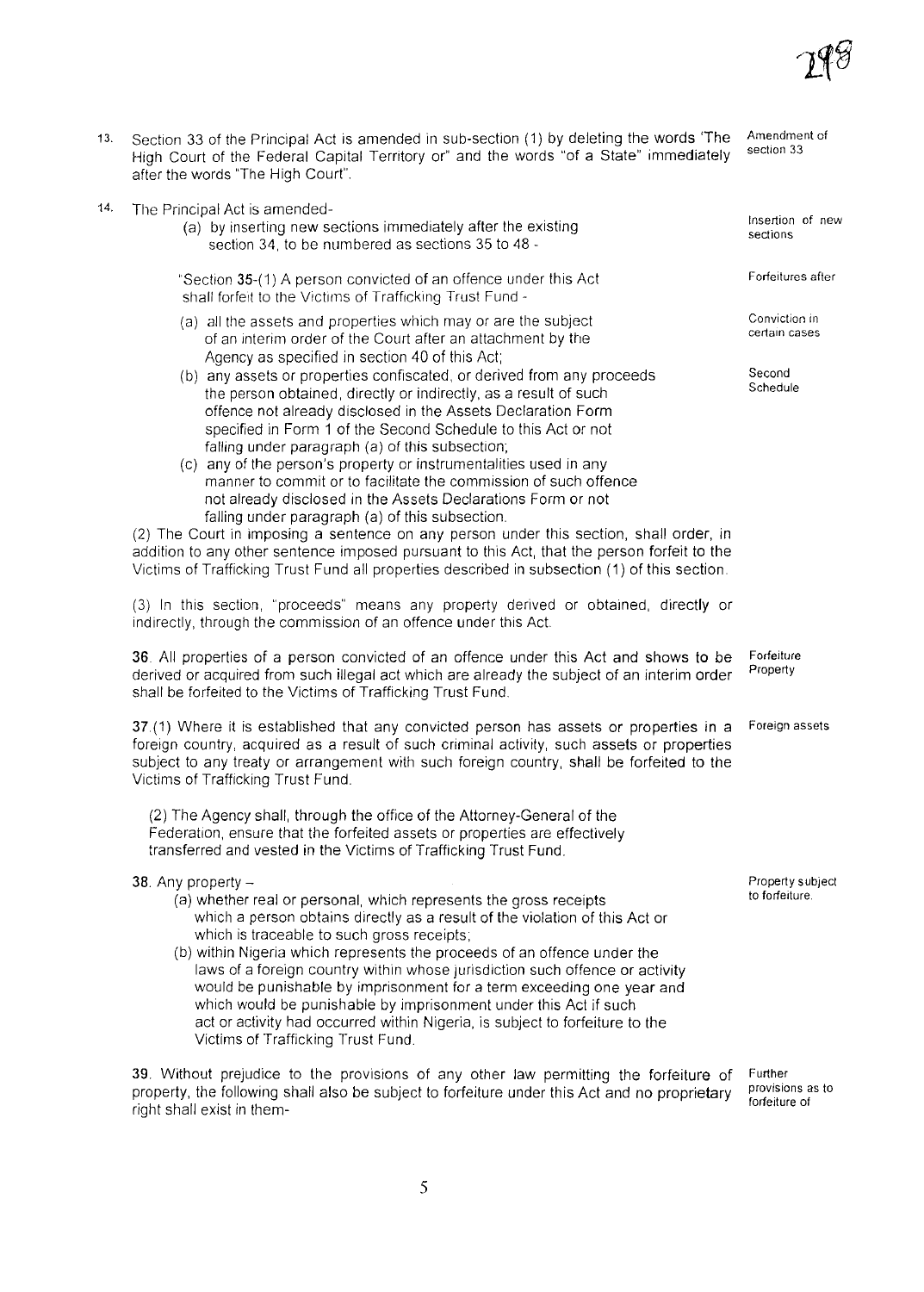

- 13. Section 33 of the Principal Act is amended in sub-section (1) by deleting the words 'The High Court of the Federal Capital Territory or" and the words "of a State" immediately after the words "The High Court". Amendment of section 33
- 14. The Principal Act is amended-
	- (a) by inserting new sections immediately after the existing section 34, to be numbered as sections 35 to 48 -
	- "Section 35-(1) A person convicted of an offence under this Act shall forfeit to the Victims of Trafficking Trust Fund -
	- (a) all the assets and properties which mayor are the subject of an interim order of the Court after an attachment by the Agency as specified in section 40 of this Act;
	- (b) any assets or properties confiscated, or derived from any proceeds the person obtained, directly or indirectly, as a result of such offence not already disclosed in the Assets Declaration Form specified in Form 1 of the Second Schedule to this Act or not falling under paragraph (a) of this subsection;
	- (c) any of the person's property or instrumentalities used in any manner to commit or to facilitate the commission of such offence not already disclosed in the Assets Declarations Form or not falling under paragraph (a) of this subsection.

(2) The Court in Imposing a sentence on any person under this section, shall order, in addition to any other sentence imposed pursuant to this Act, that the person forfeit to the Victims of Trafficking Trust Fund all properties described in subsection (1) of this section

(3) In this section, "proceeds" means any property derived or obtained, directly or indirectly, through the commission of an offence under this Act.

**36** All properties of a person convicted of an offence under this Act and shows to be Forfeiture derived or acquired from such illegal act which are already the subject of an interim order shall be forfeited to the Victims of Trafficking Trust Fund.

37.(1) Where it is established that any convicted person has assets or properties in a Foreign assets foreign country, acquired as a result of such criminal activity, such assets or properties subject to any treaty or arrangement with such foreign country, shall be forfeited to the Victims of Trafficking Trust Fund.

(2) The Agency shall, through the office of the Attorney-General of the Federation, ensure that the forfeited assets or properties are effectively transferred and vested in the Victims of Trafficking Trust Fund.

38. Any property  $-$ 

- (a) whether real or personal, which represents the gross receipts which a person obtains directly as a result of the violation of this Act or which is traceable to such gross receipts;
- (b) within Nigeria which represents the proceeds of an offence under the laws of a foreign country within whose jurisdiction such offence or activity would be punishable by imprisonment for a term exceeding one year and which would be punishable by imprisonment under this Act if such act or activity had occurred within Nigeria, is subject to forfeiture to the Victims of Trafficking Trust Fund.

39. Without prejudice to the provisions of any other law permitting the forfeiture of property, the following shall also be subject to forfeiture under this Act and no proprietary right shall exist in them-

Further provisions as to forfeiture of

Propertysubject to forfeiture.

Insertion of new **sections**

Forfeitures after

Conviction in **certain cases**

**Second** Schedule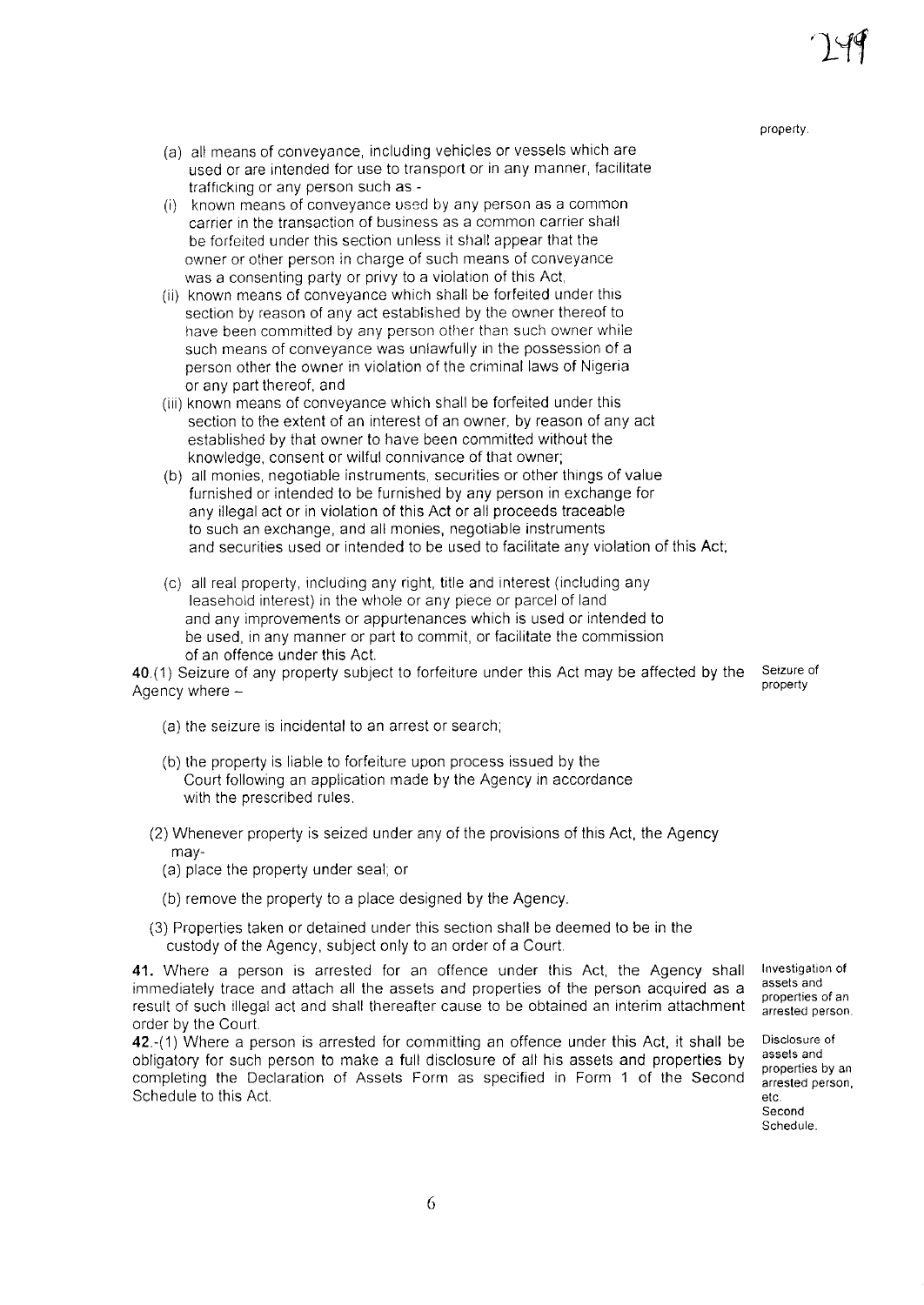property.

- (a) all means of conveyance, including vehicles or vessels which are used or are intended for use to transport or in any manner, facilitate trafficking or any person such as -
- (i) known means of conveyance used by any person as a common earner in the transaction of business as a common carrier shall be forfeited under this section unless it shall appear that the owner or other person in charge of such means of conveyance was a consenting party or privy to a violation of this Act,
- (ii) known means of conveyance which shall be forfeited under this section by reason of any act established by the owner thereof to have been committed by any person other than such owner while such means of conveyance was unlawfully in the possession of a person other the owner in violation of the criminal laws of Nigeria or any part thereof, and
- (iii) known means of conveyance which shall be forfeited under this section to the extent of an interest of an owner, by reason of any act established by that owner to have been committed without the knowledge, consent or wilful connivance of that owner;
- (b) all monies, negotiable instruments, securities or other things of value furnished or intended to be furnished by any person in exchange for any illegal act or in violation of this Act or all proceeds traceable to such an exchange, and all monies, negotiable instruments and securities used or intended to be used to facilitate any violation of this Act;
- (c) all real property, including any right, title and interest (including any leasehold interest) in the whole or any piece or parcel of land and any improvements or appurtenances which is used or intended to be used, in any manner or part to commit, or facilitate the commission of an offence under this Act

40.(1) Seizure of any property subject to forfeiture under this Act may be affected by the Seizure of property Agency where  $-$ 

- (a) the seizure is incidental to an arrest or search;
- (b) the property is liable to forfeiture upon process issued by the Court following an application made by the Agency in accordance with the prescribed rules.
- (2) Whenever property is seized under any of the provisions of this Act, the Agency may-
	- (a) place the property under seal; or
	- (b) remove the property to a place designed by the Agency.
- (3) Properties taken or detained under this section shall be deemed to be in the custody of the Agency, subject only to an order of a Court

**41.** Where a person is arrested for an offence under this Act, the Agency shall immediately trace and attach all the assets and properties of the person acquired as a result of such illegal act and shall thereafter cause to be obtained an interim attachment order by the Court

42.-(1) Where a person is arrested for committing an offence under this Act, it shall be obligatory for such person to make a full disclosure of all his assets and properties by completing the Declaration of Assets Form as specified in Form 1 of the Second Schedule to this Act

Investigation of **assets and** properties of an arrested person

Disclosure of assets and properties by an arrested person, etc. Second Schedule.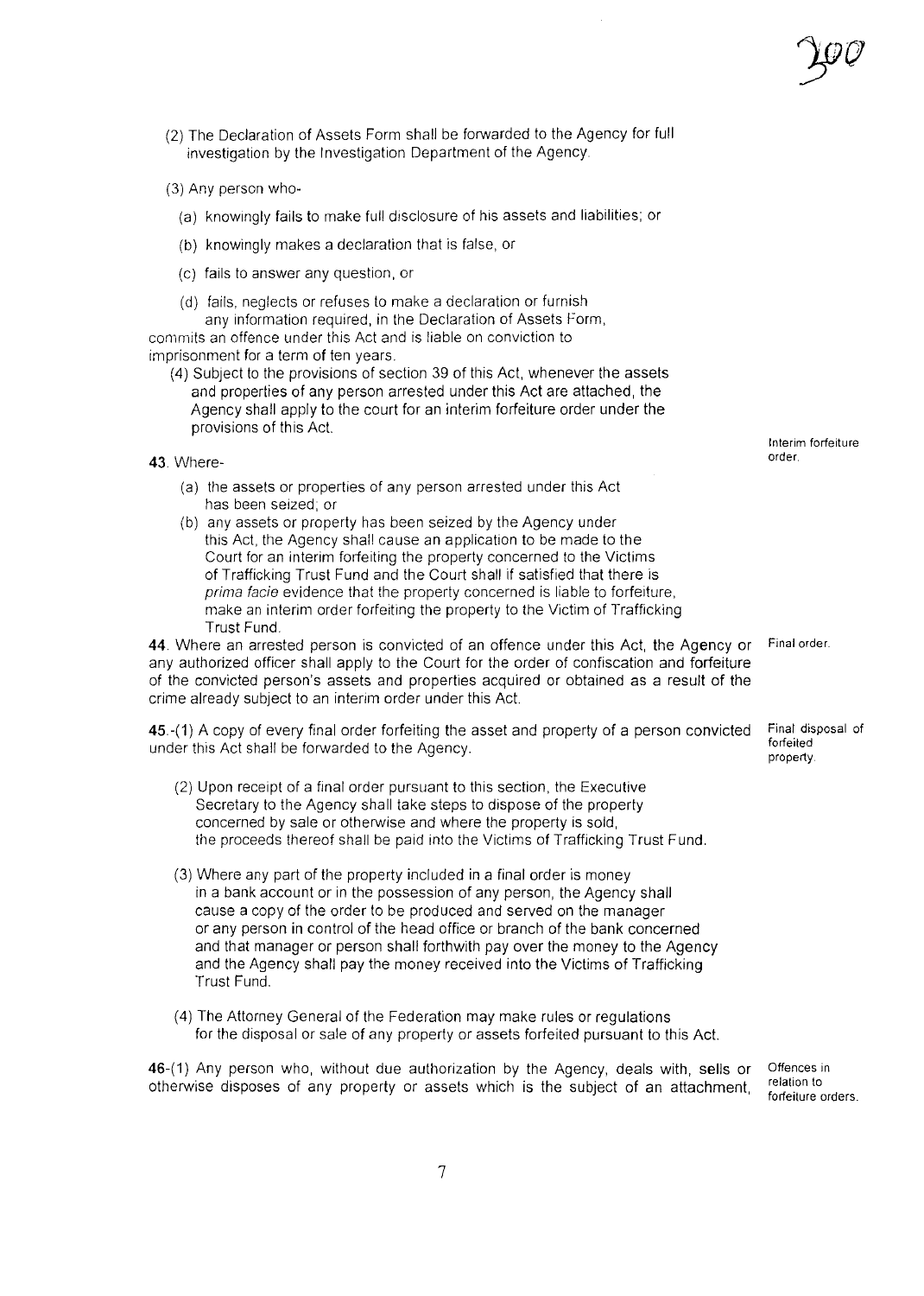- (2) The Declaration of Assets Form shall be forwarded to the Agency for full investigation by the Investigation Department of the Agency.
- (3) Any person who-
	- (a) knowingly fails to make full disclosure of his assets and liabilities; or
	- (b) knowingly makes a declaration that is false, or
	- (c) fails to answer any question, or
	- (d) fails, neglects or refuses to make a declaration or furnish any information required, in the Declaration of Assets Form,

commits an offence under this Act and is liable on conviction to imprisonment for a term of ten years.

- (4) Subject to the provisions of section 39 of this Act, whenever the assets and properties of any person arrested under this Act are attached, the Agency shall apply to the court for an interim forfeiture order under the provisions of this Act.
- 43. Where-
	- (a) the assets or properties of any person arrested under this Act has been seized; or
	- (b) any assets or property has been seized by the Agency under this Act, the Agency shall cause an application to be made to the Court for an interim forfeiting the property concerned to the Victims of Trafficking Trust Fund and the Court shall if satisfied that there is *prima facie* evidence that the property concerned is liable to forfeiture, make an interim order forfeiting the property to the Victim of Trafficking Trust Fund.

**44** Where an arrested person is convicted of an offence under this Act, the Agency or any authorized officer shall apply to the Court for the order of confiscation and forfeiture of the convicted person's assets and properties acquired or obtained as a result of the crime already subject to an interim order under this Act.

45.-(1) A copy of every final order forfeiting the asset and property of a person convicted under this Act shall be forwarded to the Agency.

- (2) Upon receipt of a final order pursuant to this section, the Executive Secretary to the Agency shall take steps to dispose of the property concerned by sale or otherwise and where the property is sold, the proceeds thereof shall be paid into the Victims of Trafficking Trust Fund.
- (3) Where any part of the property included in a final order is money in a bank account or in the possession of any person, the Agency shall cause a copy of the order to be produced and served on the manager or any person in control of the head office or branch of the bank concerned and that manager or person shall forthwith pay over the money to the Agency and the Agency shall pay the money received into the Victims of Trafficking Trust Fund.
- (4) The Attorney General of the Federation may make rules or regulations for the disposal or sale of any property or assets forfeited pursuant to this Act.

46-(1) Any person who, without due authorization by the Agency, deals with, sells or otherwise disposes of any property or assets which is the subject of an attachment,

Offences in relation to forfeiture orders.

Interim forfeiture order.

Final order.

Final disposal of forfeited property.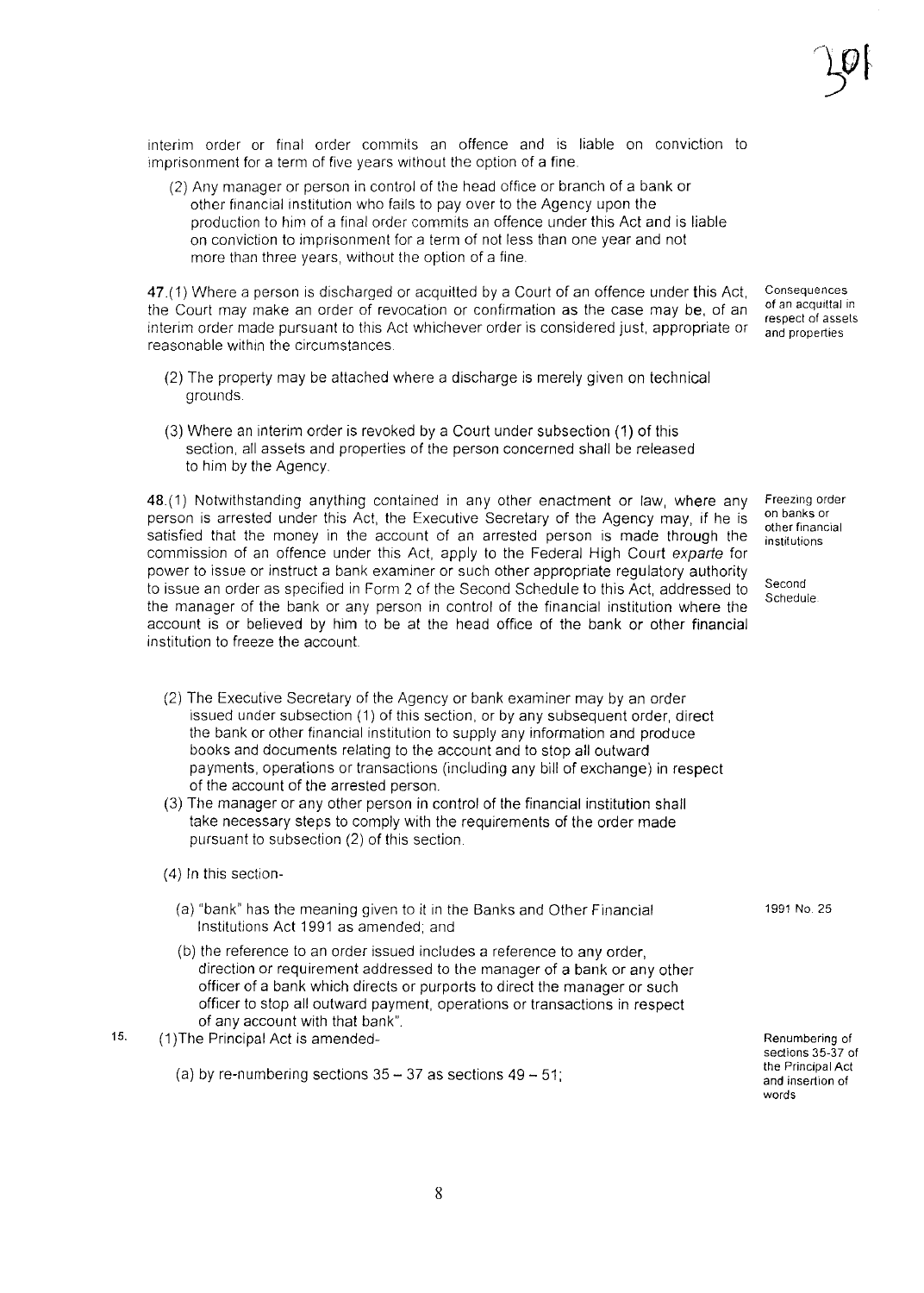interim order or final order commits an offence and is liable on conviction to imprisonment for a term of five years without the option of a fine.

(2) Any manager or person in control of the head office or branch of a bank or other financial institution who fails to pay over to the Agency upon the production to him of a final order commits an offence under this Act and is liable on conviction to imprisonment for a term of not less than one year and not more than three years, without the option of a fine

47.(1) Where a person is discharged or acquitted by a Court of an offence under this Act, the Court may make an order of revocation or confirmation as the case may be, of an interim order made pursuant to this Act whichever order is considered just, appropriate or reasonable within the circumstances **Consequences** of an acquittal in respect of assets and properties

- (2) The property may be attached where a discharge is merely given on technical grounds
- (3) Where an interim order is revoked by a Court under subsection (1) of this section, all assets and properties of the person concerned shall be released to him by the Agency.

48(1) Notwithstanding anything contained in any other enactment or law, where any person is arrested under this Act, the Executive Secretary of the Agency may, if he is satisfied that the money in the account of an arrested person is made through the commission of an offence under this Act, apply to the Federal High Court *exparte* for power to issue or instruct a bank examiner or such other appropriate regulatory authority to issue an order as specified in Form 2 of the Second Schedule to this Act, addressed to the manager of the bank or any person in control of the financial institution where the account is or believed by him to be at the head office of the bank or other financial institution to freeze the account

Freezing order on banks or other financial institutions

Second Schedule

- (2) The Executive Secretary of the Agency or bank examiner may by an order issued under subsection (1) of this section, or by any subsequent order, direct the bank or other financial institution to supply any information and produce books and documents relating to the account and to stop all outward payments, operations or transactions (including any bill of exchange) in respect of the account of the arrested person.
- (3) The manager or any other person in control of the financial institution shall take necessary steps to comply with the requirements of the order made pursuant to subsection (2) of this section

- (a) "bank" has the meaning given to it in the Banks and Other Financial Institutions Act 1991 as amended; and
- (b) the reference to an order issued includes a reference to any order, direction or requirement addressed to the manager of a bank or any other officer of a bank which directs or purports to direct the manager or such officer to stop all outward payment, operations or transactions in respect of any account with that bank".
- 15. (1)The Principal Act is amended-
	- (a) by re-numbering sections  $35 37$  as sections  $49 51$ ;

Renumbering of sections 35-37 of the Principal Act and insertion of words

1991 No 25

<sup>(4)</sup> In this section-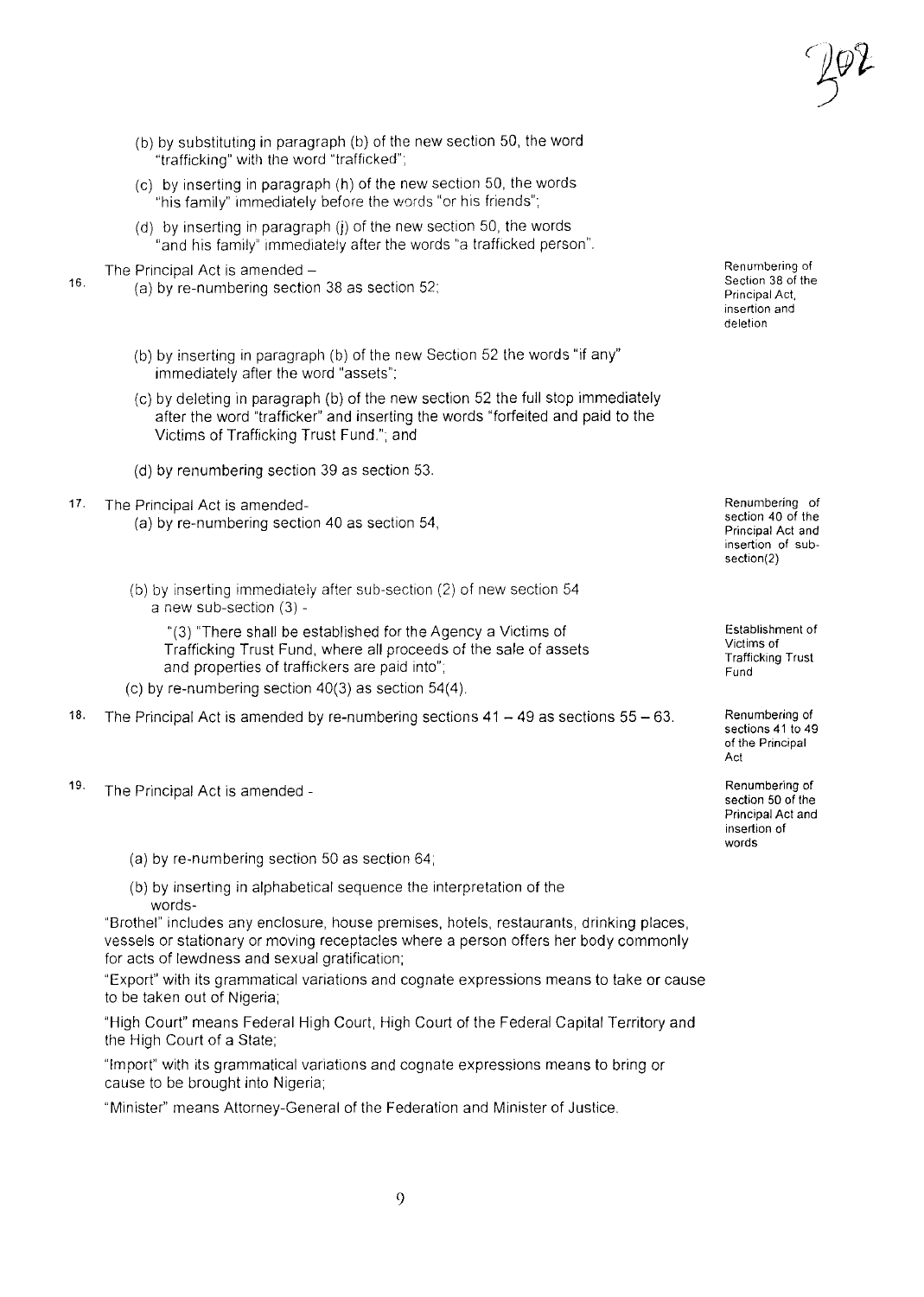- (b) by substituting in paragraph (b) of the new section 50, the word "trafficking" with the word "trafficked";
- (c) by inserting in paragraph (h) of the new section 50, the words "his family" Immediately before the words "or his friends";
- (d) by inserting in paragraph (j) of the new section 50, the words "and his family" immediately after the words "a trafficked person".
- 16. The Principal Act is amended -
	- (a) by re-numbering section 38 as section 52;
	- (b) by inserting in paragraph (b) of the new Section 52 the words "if any" immediately after the word "assets";
	- (c) by deleting in paragraph (b) of the new section 52 the full stop immediately after the word "trafficker" and inserting the words "forfeited and paid to the Victims of Trafficking Trust Fund."; and
	- (d) by renumbering section 39 as section 53.
- 17. The Principal Act is amended-
	- (a) by re-numbering section 40 as section 54,
	- (b) by inserting immediately after sub-section (2) of new section 54 a new sub-section (3) -

"(3) 'There shall be established for the Agency a Victims of Trafficking Trust Fund, where all proceeds of the sale of assets and properties of traffickers are paid into";

(c) by re-numbering section  $40(3)$  as section  $54(4)$ .

18. The Principal Act is amended by re-numbering sections  $41 - 49$  as sections  $55 - 63$ .

- 19. The Principal Act is amended
	- (a) by re-numbering section 50 as section 64;
	- (b) by inserting in alphabetical sequence the interpretation of the words-

"Brothel" includes any enclosure, house premises, hotels, restaurants, drinking places, vessels or stationary or moving receptacles where a person offers her body commonly for acts of lewdness and sexual gratification;

"Export" with its grammatical variations and cognate expressions means to take or cause to be taken out of Nigeria;

"High Court" means Federal High Court, High Court of the Federal Capital Territory and the High Court of a State;

"Import" with its grammatical variations and cognate expressions means to bring or cause to be brought into Nigeria;

"Minister" means Attorney-General of the Federation and Minister of Justice.

Renumbering of Section 38 of the Principal Act, insertion and deletion

Renumbering of section 40 of the Principal Act and insertion of subsection(2)

Establishment of Victims of Trafficking Trust Fund

Renumbering of sections 41 to 49 of the Principal Act

Renumbering of section 50 of the Principal Act and insertion of words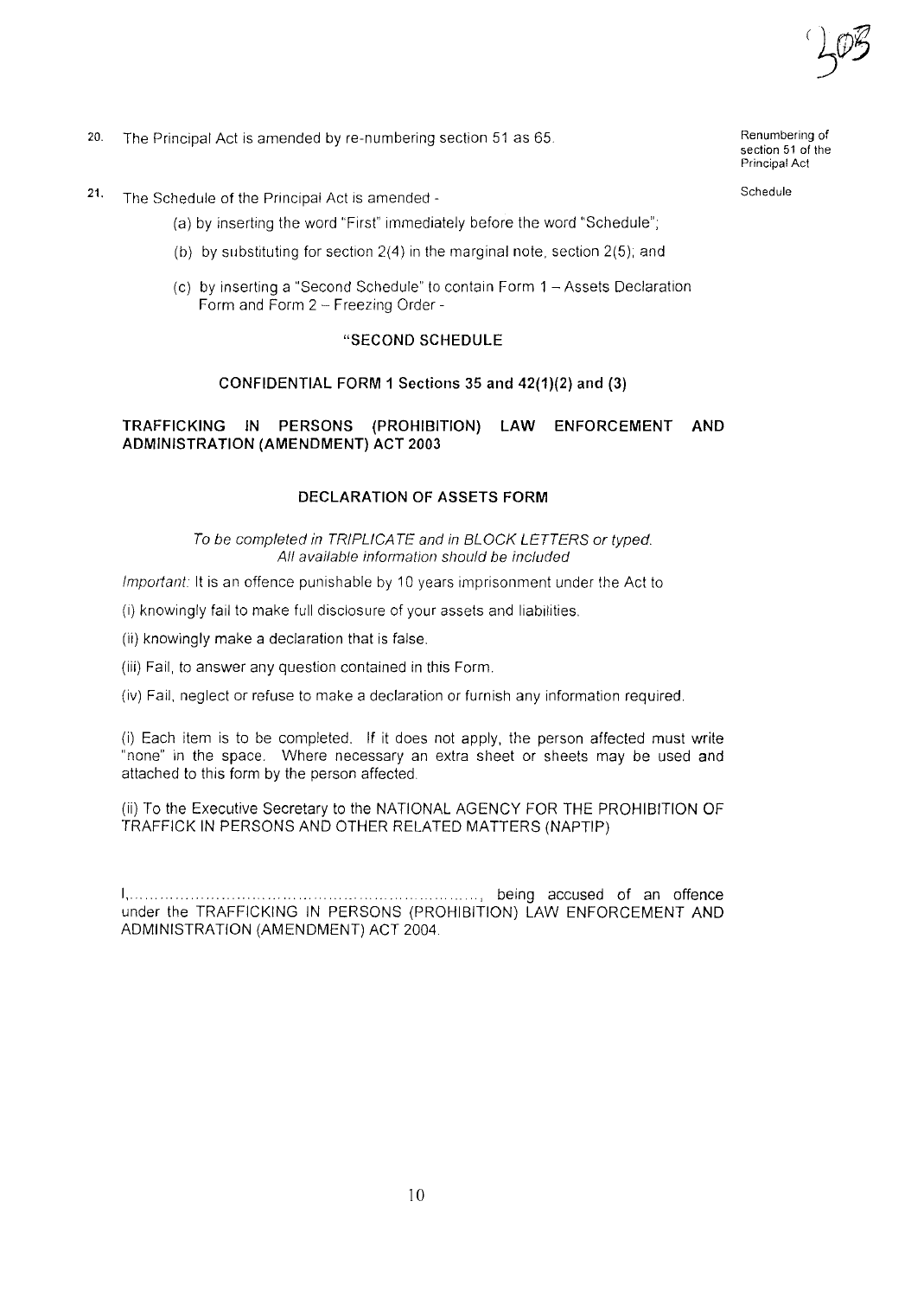- 20. The Principal Act is amended by re-numbering section 51 as 65.
- 21. The Schedule of the Principal Act is amended
	- (a) by inserting the word "First" immediately before the word "Schedule";
	- (b) by substitutinq for section 2(4) in the marginal note, section 2(5); and
	- (c) by inserting a "Second Schedule" to contain Form 1 Assets Declaration Form and Form 2 - Freezing Order -

#### "SECOND SCHEDULE

#### CONFIDENTIAL FORM 1 Sections 35 and 42(1)(2) and (3)

### TRAFFICKING IN PERSONS (PROHIBITION) LAW ENFORCEMENT AND ADMINISTRATION (AMENDMENT) ACT 2003

#### DECLARATION OF ASSETS FORM

*To be completed in TRIPLICA TE and in BLOCK LETTERS or typed. All available information should be included*

*Important:* It is an offence punishable by 10 years imprisonment under the Act to

(I) knowingly fail to make full disclosure of your assets and liabilities.

(ii) knowingly make a declaration that is false.

(iii) Fail, to answer any question contained in this Form.

(iv) Fail, neglect or refuse to make a declaration or furnish any information required.

(i) Each item is to be completed. If it does not apply, the person affected must write "none" in the space. Where necessary an extra sheet or sheets may be used and attached to this form by the person affected

(ii) To the Executive Secretary to the NATIONAL AGENCY FOR THE PROHIBITION OF TRAFFICK IN PERSONS AND OTHER RELATED MATTERS (NAPTIP)

I,.. .., being accused of an offence under the TRAFFICKING IN PERSONS (PROHIBITION) LAW ENFORCEMENT AND ADMINISTRATION (AMENDMENT) ACT 2004

10

Renumbering of section 51 of the Principal Act

Schedule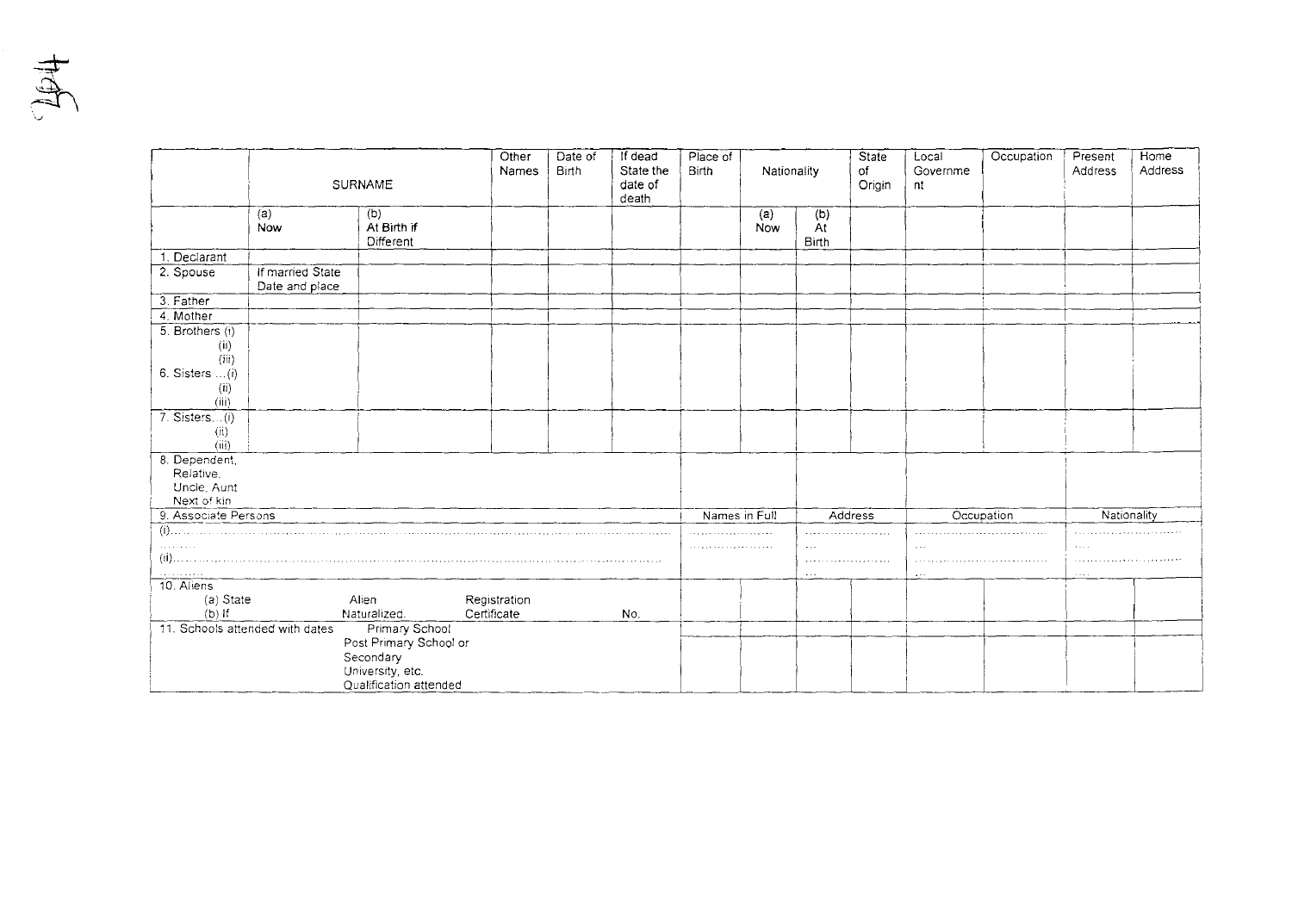$\frac{1}{2}$ 

|                                  | <b>SURNAME</b>                     |                                 | Other<br>Names | Date of<br><b>Birth</b> | If dead<br>State the<br>date of<br>death | Place of<br><b>Birth</b> |                      | State<br>Nationality<br>of<br>Origin |            | Local<br>Governme<br>nt | Occupation  | Present<br>Address          | Home<br>Address |
|----------------------------------|------------------------------------|---------------------------------|----------------|-------------------------|------------------------------------------|--------------------------|----------------------|--------------------------------------|------------|-------------------------|-------------|-----------------------------|-----------------|
|                                  | (a)<br>Now                         | (b)<br>At Birth if<br>Different |                |                         |                                          |                          | (a)<br>Now           | (b)<br>At<br>Birth                   |            |                         |             |                             |                 |
| 1. Declarant                     |                                    |                                 |                |                         |                                          |                          |                      |                                      |            |                         |             |                             |                 |
| 2. Spouse                        | If married State<br>Date and place |                                 |                |                         |                                          |                          |                      |                                      |            |                         |             |                             |                 |
| 3. Father                        |                                    |                                 |                |                         |                                          |                          |                      |                                      |            |                         |             |                             |                 |
| 4. Mother                        |                                    |                                 |                |                         |                                          |                          |                      |                                      |            |                         |             |                             |                 |
| 5. Brothers (i)<br>(ii)<br>(iii) |                                    |                                 |                |                         |                                          |                          |                      |                                      |            |                         |             |                             |                 |
| $6.$ Sisters $(i)$               |                                    |                                 |                |                         |                                          |                          |                      |                                      |            |                         |             |                             |                 |
| (ii)<br>(iii)                    |                                    |                                 |                |                         |                                          |                          |                      |                                      |            |                         |             |                             |                 |
| 7. Sisters(i)<br>(ii)            |                                    |                                 |                |                         |                                          |                          |                      |                                      |            |                         |             |                             |                 |
| (iii)<br>8. Dependent,           |                                    |                                 |                |                         |                                          |                          |                      |                                      |            |                         |             |                             |                 |
| Relative.                        |                                    |                                 |                |                         |                                          |                          |                      |                                      |            |                         |             |                             |                 |
| Uncle, Aunt                      |                                    |                                 |                |                         |                                          |                          |                      |                                      |            |                         |             |                             |                 |
| Next of kin                      |                                    |                                 |                |                         |                                          |                          |                      |                                      |            |                         |             |                             |                 |
| 9. Associate Persons             |                                    |                                 |                |                         | Names in Full                            |                          | Address              |                                      | Occupation |                         | Nationality |                             |                 |
| $(i)$                            |                                    |                                 |                |                         |                                          |                          |                      |                                      |            |                         |             |                             |                 |
| .                                |                                    |                                 |                |                         |                                          |                          | $\sim$ $\sim$ $\sim$ |                                      | $\ddotsc$  |                         | 1.111       |                             |                 |
|                                  |                                    |                                 |                |                         |                                          |                          |                      |                                      |            |                         |             |                             |                 |
| 10. Aliens                       |                                    |                                 |                |                         |                                          |                          |                      | $\sim 100$                           |            | $\sim$ $\sim$ $\sim$    |             | $\sim$ $\sim$ $\sim$ $\sim$ |                 |
| (a) State                        |                                    | Alien                           | Registration   |                         |                                          |                          |                      |                                      |            |                         |             |                             |                 |
| $(b)$ if                         |                                    | Naturalized.                    | Certificate    |                         | No.                                      |                          |                      |                                      |            |                         |             |                             |                 |
| 11. Schools attended with dates  |                                    | Primary School                  |                |                         |                                          |                          |                      |                                      |            |                         |             |                             |                 |
|                                  |                                    | Post Primary School or          |                |                         |                                          |                          |                      |                                      |            |                         |             |                             |                 |
|                                  |                                    | Secondary                       |                |                         |                                          |                          |                      |                                      |            |                         |             |                             |                 |
|                                  |                                    | University, etc.                |                |                         |                                          |                          |                      |                                      |            |                         |             |                             |                 |
|                                  |                                    | Qualification attended          |                |                         |                                          |                          |                      |                                      |            |                         |             |                             |                 |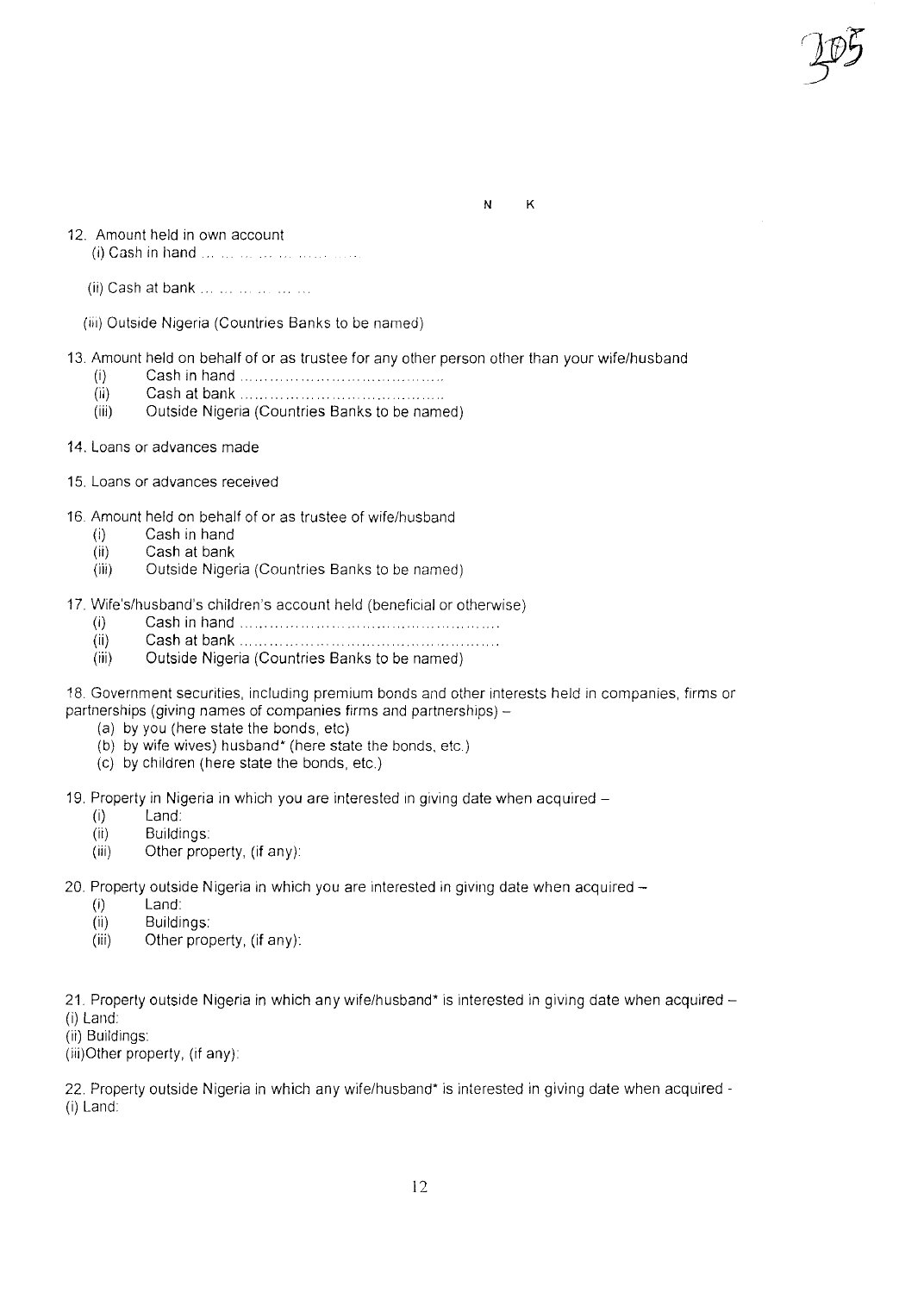N K

- 12. Amount held in own account
	- (i) Cash in hand
	- (ii) Cash at bank ... ... ... ... ... ...
	- (iii) Outside Nigeria (Countries Banks to be named)
- 13. Amount held on behalf of or as trustee for any other person other than your wife/husband
	- (i) Cash in hand ..
	- (ii) Cash at bank
	- (iii) Outside Nigeria (Countries Banks to be named)
- 14. Loans or advances made
- 15. Loans or advances received
- 16 Amount held on behalf of or as trustee of wife/husband
	- (i) Cash in hand
	- (ii) Cash at bank
	- (iii) Outside Nigeria (Countries Banks to be named)
- 17. Wife's/husband's children's account held (beneficial or otherwise)
	- (i) Cash in hand. ..
	- (ii) Cash at bank. .. .
	- (iii) Outside Nigeria (Countries Banks to be named)
- 18. Government securities, including premium bonds and other interests held in companies, firms or partnerships (giving names of companies firms and partnerships) -
	- (a) by you (here state the bonds, etc)
	- (b) by wife wives) husband' (here state the bonds, etc)
	- (c) by children (here state the bonds, etc.)
- 19. Property in Nigeria in which you are interested in giving date when acquired -
	- (i) Land
	- (ii) Buildings
	- (iii) Other property, (if any):
- 20. Property outside Nigeria in which you are interested in giving date when acquired  $-$ 
	- (i) Land
	- (ii) Buildings
	- (iii) Other property, (if any):

21. Property outside Nigeria in which any wife/husband\* is interested in giving date when acquired -

- (i) Land
- (ii) Buildings

(iii)Other property, (if any)

22. Property outside Nigeria in which any wife/husband' is interested in giving date when acquired - (i) Land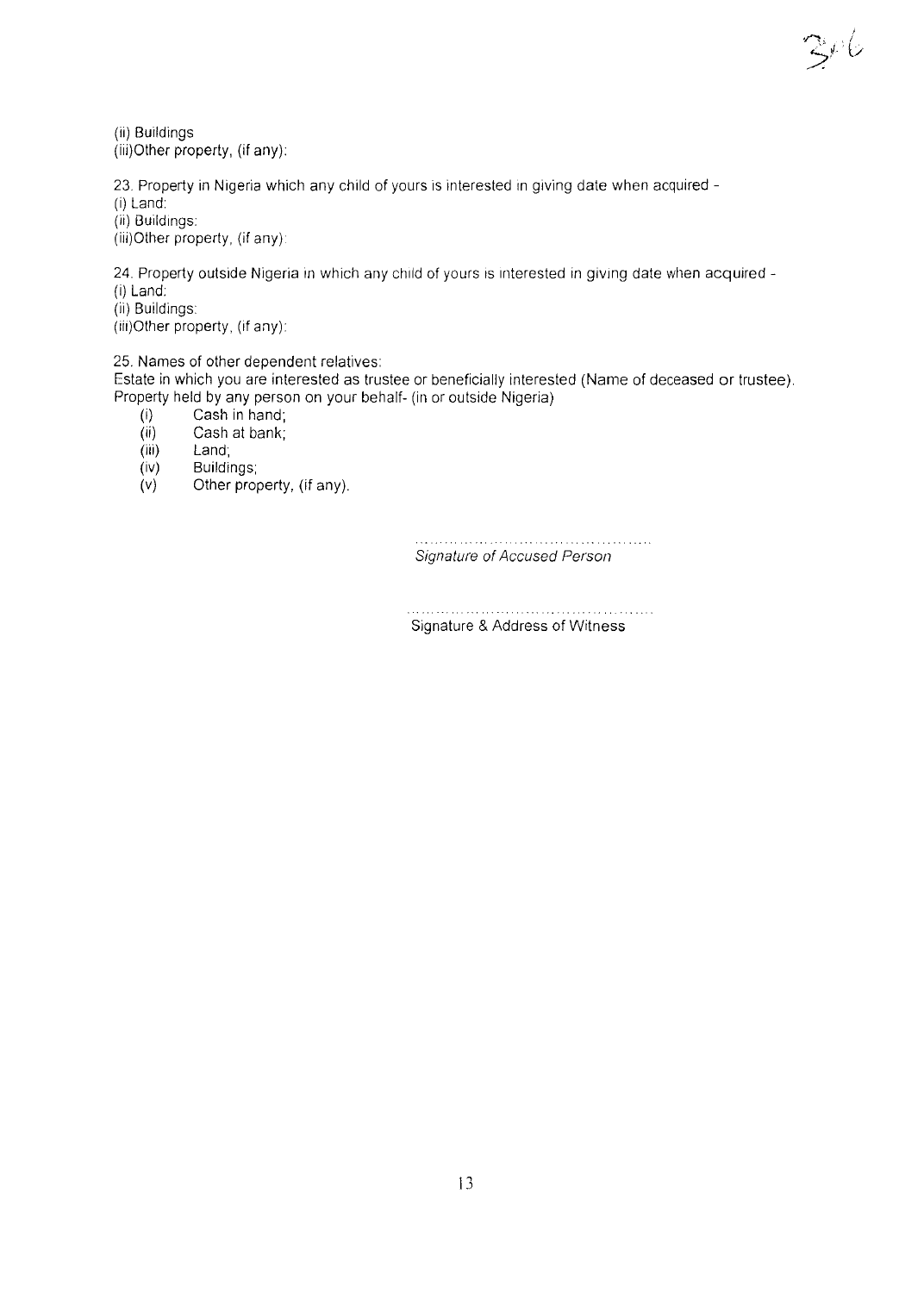(ii) Buildings (iii)Other property, (if any):

23. Property in Nigeria which any child of yours is interested in giving date when acquired -

(i) Land

(ii) Buildings:

(iii)Other property, (if any)

24. Property outside Nigeria in which any child of yours is interested in giving date when acquired -(i) Land:

(ii) Buildings

(iii)Other property, (if any):

25. Names of other dependent relatives:

Estate in which you are interested as trustee or beneficially interested (Name of deceased or trustee). Property held by any person on your behalf- (in or outside Nigeria)

- $(i)$  Cash in hand;
- (ii) Cash at bank;<br>(iii) Land;
- 
- (iii) Land;<br>(iv) Buildir Buildings;
- *(v)* Other property, (if any)

*Signature of Accused Person*

 $\mathbb{E}^{\rho}$ 6

Signature & Address of Witness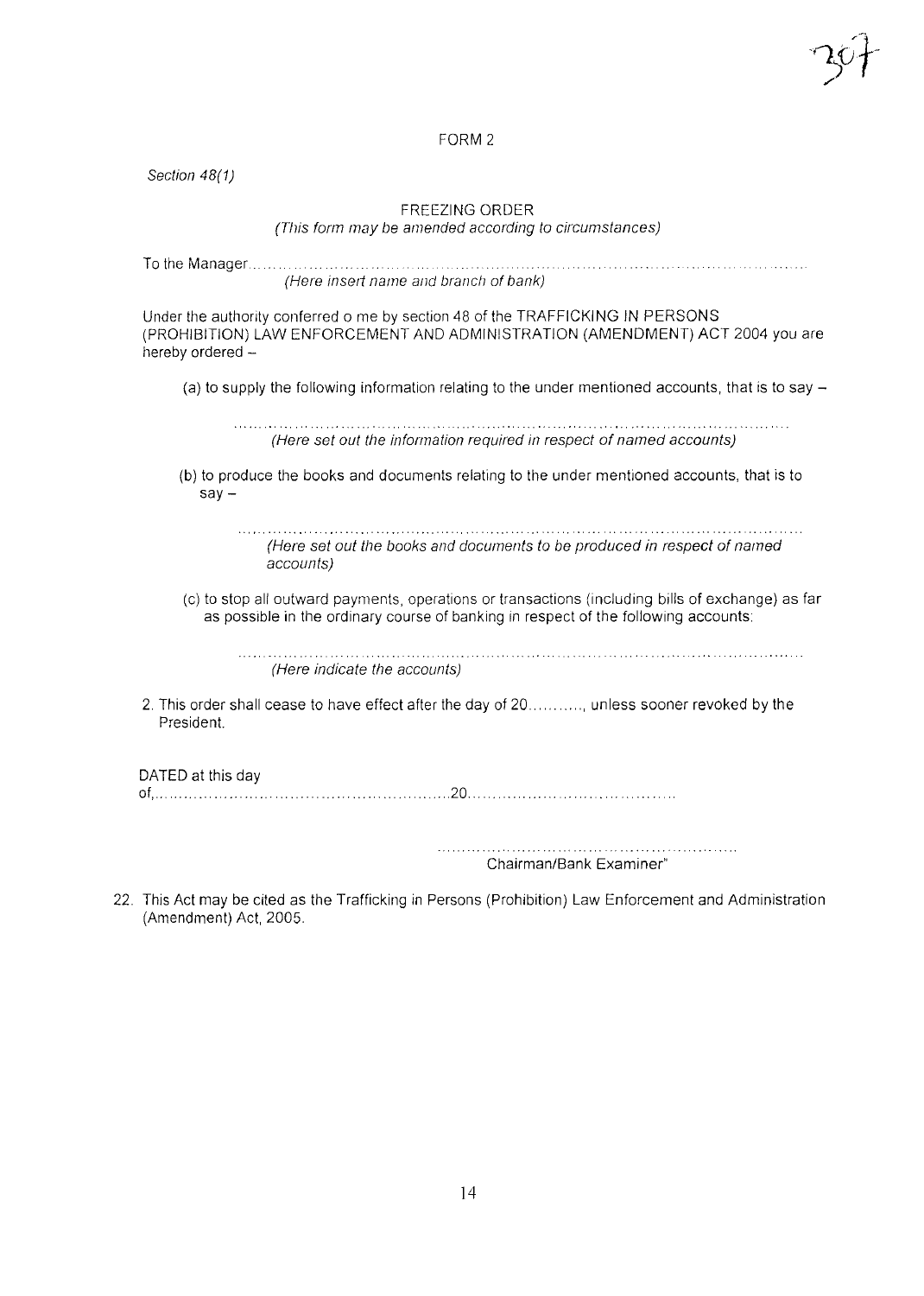#### FORM 2

*Section 48(1)*

### FREEZING ORDER

*(This form may be amended according to circumstances)*

| (Here insert name and branch of bank) |  |
|---------------------------------------|--|

Under the authority conferred 0 me by section 48 of the TRAFFICKING IN PERSONS (PROHIBITION) LAW ENFORCEMENT AND ADMINiSTRATION (AMENDMENT) ACT 2004 you are  $h$ ereby ordered  $-$ 

(a) to supply the following information relating to the under mentioned accounts, that is to say  $-$ 

*(Here set out the information required in respect of named accounts)*

(b) to produce the books and documents relating to the under mentioned accounts, that is to  $say -$ 

> *(Here set out the books and documents to be produced in respect of named accounts)*

(c) to stop all outward payments, operations or transactions (including bills of exchange) as far as possible in the ordinary course of banking in respect of the following accounts:

*(Here indicate the accounts)*

2. This order shall cease to have effect after the day of 20…………, unless sooner revoked by the President.

DATED at this day of,.""", """"'"'' "20,,

> Chairman/Bank Examiner"

22, This Act may be cited as the Trafficking in Persons (Prohibition) Law Enforcement and Administration (Amendment) Act, 2005,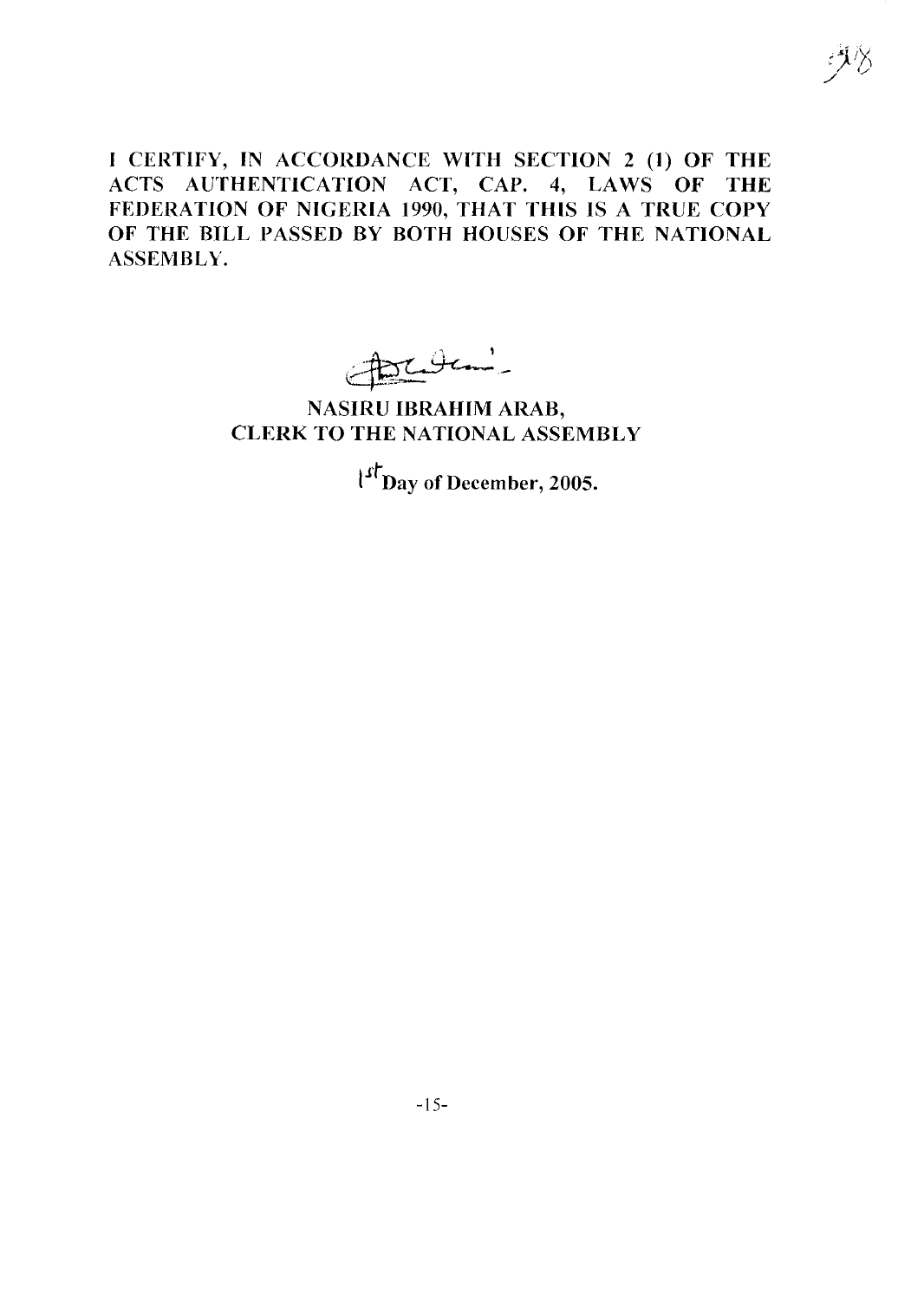I CERTIFY, IN ACCORDANCE WITH SECTION 2 (1) OF THE ACTS AUTHENTICATION ACT, CAP. 4, LAWS OF THE FEDERATION OF NIGERIA 1990, THAT THIS IS A TRUE COpy OF THE BILL PASSED BY BOTH HOUSES OF THE NATIONAL ASSEMBLY.

:1⁄) ./ '/

 $\frac{1}{10}$ 

# NASIRU IBRAHIM ARAB, CLERK TO THE NATIONAL ASSEMBLY

 $\int_0^{\infty}$  Day of December, 2005.